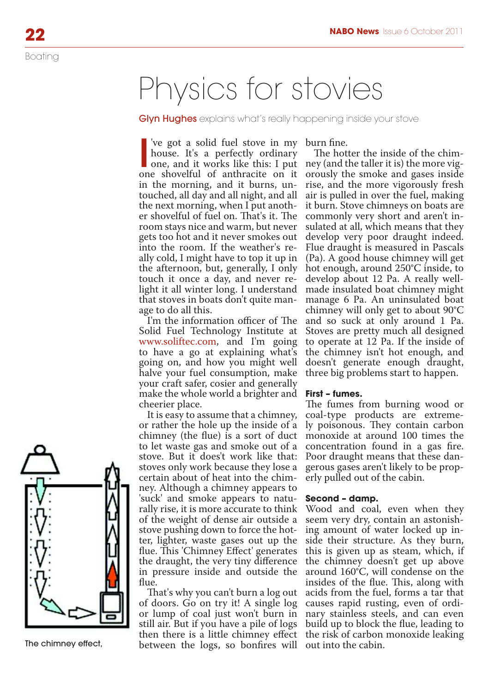## Physics for stovies

Glyn Hughes explains what's really happening inside your stove

I 've got a solid fuel stove in my house. It's a perfectly ordinary one shovelful of anthracite on it in the morning, and it burns, untouched, all day and all night, and all the next morning, when I put another shovelful of fuel on. That's it. The room stays nice and warm, but never gets too hot and it never smokes out into the room. If the weather's really cold, I might have to top it up in the afternoon, but, generally, I only touch it once a day, and never relight it all winter long. I understand that stoves in boats don't quite manage to do all this.

I'm the information officer of The Solid Fuel Technology Institute at www.soliftec.com, and I'm going to have a go at explaining what's going on, and how you might well halve your fuel consumption, make your craft safer, cosier and generally make the whole world a brighter and cheerier place.

It is easy to assume that a chimney, or rather the hole up the inside of a chimney (the flue) is a sort of duct to let waste gas and smoke out of a stove. But it does't work like that: stoves only work because they lose a certain about of heat into the chimney. Although a chimney appears to 'suck' and smoke appears to naturally rise, it is more accurate to think of the weight of dense air outside a stove pushing down to force the hotter, lighter, waste gases out up the flue. This 'Chimney Effect' generates the draught, the very tiny difference in pressure inside and outside the flue.

That's why you can't burn a log out of doors. Go on try it! A single log or lump of coal just won't burn in between the logs, so bonfires will out into the cabin.

burn fine.

one, and it works like this: I put ney (and the taller it is) the more vig-The hotter the inside of the chimorously the smoke and gases inside rise, and the more vigorously fresh air is pulled in over the fuel, making it burn. Stove chimneys on boats are commonly very short and aren't insulated at all, which means that they develop very poor draught indeed. Flue draught is measured in Pascals (Pa). A good house chimney will get hot enough, around 250°C inside, to develop about 12 Pa. A really wellmade insulated boat chimney might manage 6 Pa. An uninsulated boat chimney will only get to about 90°C and so suck at only around 1 Pa. Stoves are pretty much all designed to operate at 12 Pa. If the inside of the chimney isn't hot enough, and doesn't generate enough draught, three big problems start to happen.

## **First – fumes.**

The fumes from burning wood or coal-type products are extremely poisonous. They contain carbon monoxide at around 100 times the concentration found in a gas fire. Poor draught means that these dangerous gases aren't likely to be properly pulled out of the cabin.

## **Second – damp.**

still air. But if you have a pile of logs build up to block the flue, leading to then there is a little chimney effect the risk of carbon monoxide leaking Wood and coal, even when they seem very dry, contain an astonishing amount of water locked up inside their structure. As they burn, this is given up as steam, which, if the chimney doesn't get up above around 160°C, will condense on the insides of the flue. This, along with acids from the fuel, forms a tar that causes rapid rusting, even of ordinary stainless steels, and can even



The chimney effect,